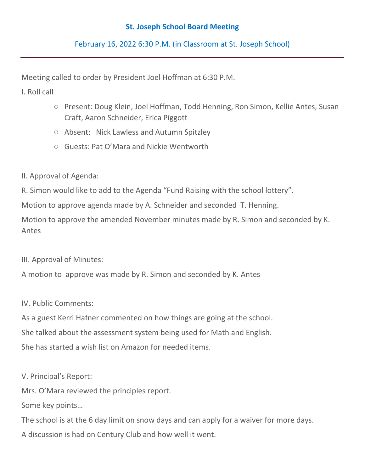## **St. Joseph School Board Meeting**

February 16, 2022 6:30 P.M. (in Classroom at St. Joseph School)

Meeting called to order by President Joel Hoffman at 6:30 P.M.

I. Roll call

- Present: Doug Klein, Joel Hoffman, Todd Henning, Ron Simon, Kellie Antes, Susan Craft, Aaron Schneider, Erica Piggott
- Absent: Nick Lawless and Autumn Spitzley
- Guests: Pat O'Mara and Nickie Wentworth
- II. Approval of Agenda:

R. Simon would like to add to the Agenda "Fund Raising with the school lottery".

Motion to approve agenda made by A. Schneider and seconded T. Henning.

Motion to approve the amended November minutes made by R. Simon and seconded by K. Antes

III. Approval of Minutes:

A motion to approve was made by R. Simon and seconded by K. Antes

IV. Public Comments:

As a guest Kerri Hafner commented on how things are going at the school. She talked about the assessment system being used for Math and English. She has started a wish list on Amazon for needed items.

V. Principal's Report:

Mrs. O'Mara reviewed the principles report.

Some key points…

The school is at the 6 day limit on snow days and can apply for a waiver for more days. A discussion is had on Century Club and how well it went.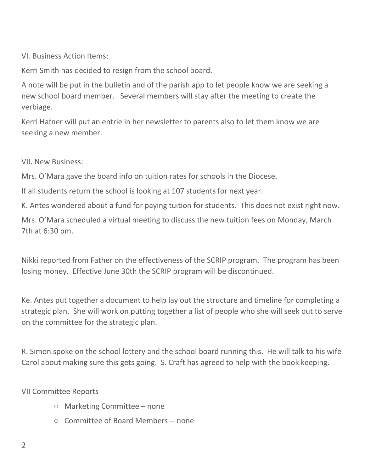VI. Business Action Items:

Kerri Smith has decided to resign from the school board.

A note will be put in the bulletin and of the parish app to let people know we are seeking a new school board member. Several members will stay after the meeting to create the verbiage.

Kerri Hafner will put an entrie in her newsletter to parents also to let them know we are seeking a new member.

VII. New Business:

Mrs. O'Mara gave the board info on tuition rates for schools in the Diocese.

If all students return the school is looking at 107 students for next year.

K. Antes wondered about a fund for paying tuition for students. This does not exist right now.

Mrs. O'Mara scheduled a virtual meeting to discuss the new tuition fees on Monday, March 7th at 6:30 pm.

Nikki reported from Father on the effectiveness of the SCRIP program. The program has been losing money. Effective June 30th the SCRIP program will be discontinued.

Ke. Antes put together a document to help lay out the structure and timeline for completing a strategic plan. She will work on putting together a list of people who she will seek out to serve on the committee for the strategic plan.

R. Simon spoke on the school lottery and the school board running this. He will talk to his wife Carol about making sure this gets going. S. Craft has agreed to help with the book keeping.

VII Committee Reports

- Marketing Committee none
- Committee of Board Members -- none